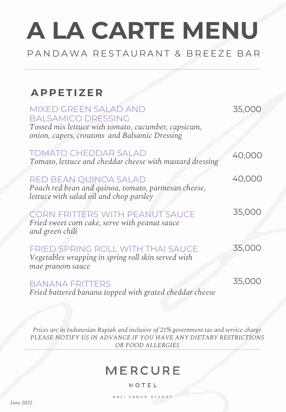## PAN DAWA RESTAURANT & BREEZE BAR

## **A P P E T I Z E R**

| MIXED GREEN SALAD AND<br><b>BALSAMICO DRESSING</b><br>Tossed mix lettuce with tomato, cucumber, capsicum,<br>onion, capers, croutons and Balsamic Dressing | 35,000 |
|------------------------------------------------------------------------------------------------------------------------------------------------------------|--------|
| <b>TOMATO CHEDDAR SALAD</b><br>Tomato, lettuce and cheddar cheese with mustard dressing                                                                    | 40,000 |
| RED BEAN QUINOA SALAD<br>Poach red bean and quinoa, tomato, parmesan cheese,<br>lettuce with salad oil and chop parsley                                    | 40,000 |
| <b>CORN FRITTERS WITH PEANUT SAUCE</b><br>Fried sweet corn cake, serve with peanut sauce<br>and green chili                                                | 35,000 |
| <b>FRIED SPRING ROLL WITH THAI SAUCE</b><br>Vegetables wrapping in spring roll skin served with<br>mae pranom sauce                                        | 35,000 |
| <b>BANANA FRITTERS</b><br>Fried battered banana topped with grated cheddar cheese                                                                          | 35,000 |

*Prices are in Indonesian Rupiah and inclusive of 21% government tax and service charge PLEASE NOTIFY US IN ADVANCE IF YOU HAVE ANY DIETARY RESTRICTIONS OR FOOD ALLERGIES* 

## **MERCURE**

#### HOTEL

BALI SANUR RESORT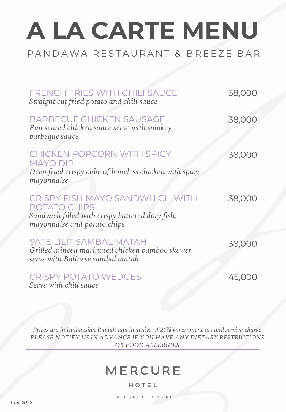## PAN DAWA RESTAURANT & BREEZE BAR

| <b>FRENCH FRIES WITH CHILI SAUCE</b><br>Straight cut fried potato and chili sauce                                                               | 38,000 |
|-------------------------------------------------------------------------------------------------------------------------------------------------|--------|
| <b>BARBECUE CHICKEN SAUSAGE</b><br>Pan seared chicken sauce serve with smokey<br>barbeque sauce                                                 | 38,000 |
| <b>CHICKEN POPCORN WITH SPICY</b><br><b>MAYO DIP</b><br>Deep fried crispy cube of boneless chicken with spicy<br>mayonnaise                     | 38,000 |
| <b>CRISPY FISH MAYO SANDWHICH WITH</b><br><b>POTATO CHIPS</b><br>Sandwich filled with crispy battered dory fish,<br>mayonnaise and potato chips | 38,000 |
| <b>SATE LILIT SAMBAL MATAH</b><br>Grilled minced marinated chicken bamboo skewer<br>serve with Balinese sambal matah                            | 38,000 |
| <b>CRISPY POTATO WEDGES</b><br>Serve with chili sauce                                                                                           | 45,000 |

*Prices are in Indonesian Rupiah and inclusive of 21% government tax and service charge PLEASE NOTIFY US IN ADVANCE IF YOU HAVE ANY DIETARY RESTRICTIONS OR FOOD ALLERGIES* 

## **MERCURE**

#### HOTEL

BALI SANUR RESORT

*June 2022*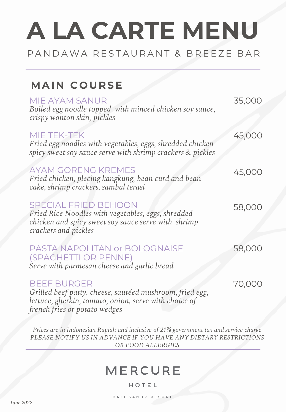### PAN DAWA RESTAURANT & BREEZE BAR

## **MAIN COURSE**

| MIE AYAM SANUR<br>Boiled egg noodle topped with minced chicken soy sauce,<br>crispy wonton skin, pickles                                                                 | 35,000 |
|--------------------------------------------------------------------------------------------------------------------------------------------------------------------------|--------|
| MIE TEK-TEK<br>Fried egg noodles with vegetables, eggs, shredded chicken<br>spicy sweet soy sauce serve with shrimp crackers & pickles                                   | 45,000 |
| <b>AYAM GORENG KREMES</b><br>Fried chicken, plecing kangkung, bean curd and bean<br>cake, shrimp crackers, sambal terasi                                                 | 45,000 |
| <b>SPECIAL FRIED BEHOON</b><br>Fried Rice Noodles with vegetables, eggs, shredded<br>chicken and spicy sweet soy sauce serve with shrimp<br>crackers and pickles         | 58,000 |
| <b>PASTA NAPOLITAN or BOLOGNAISE</b><br>(SPAGHETTI OR PENNE)<br>Serve with parmesan cheese and garlic bread                                                              | 58,000 |
| <b>BEEF BURGER</b><br>Grilled beef patty, cheese, sautéed mushroom, fried egg,<br>lettuce, gherkin, tomato, onion, serve with choice of<br>french fries or potato wedges | 70,000 |

*Prices are in Indonesian Rupiah and inclusive of 21% government tax and service charge PLEASE NOTIFY US IN ADVANCE IF YOU HAVE ANY DIETARY RESTRICTIONS OR FOOD ALLERGIES* 

## **MERCURE**

#### HOTEL

BALI SANUR RESORT